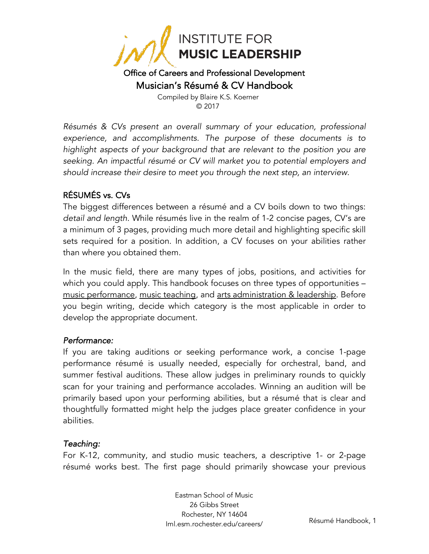

#### Office of Careers and Professional Development Musician's Résumé & CV Handbook

Compiled by Blaire K.S. Koerner © 2017

*Résumés & CVs present an overall summary of your education, professional experience, and accomplishments. The purpose of these documents is to highlight aspects of your background that are relevant to the position you are seeking. An impactful résumé or CV will market you to potential employers and should increase their desire to meet you through the next step, an interview.*

#### RÉSUMÉS vs. CVs

The biggest differences between a résumé and a CV boils down to two things: *detail and length*. While résumés live in the realm of 1-2 concise pages, CV's are a minimum of 3 pages, providing much more detail and highlighting specific skill sets required for a position. In addition, a CV focuses on your abilities rather than where you obtained them.

In the music field, there are many types of jobs, positions, and activities for which you could apply. This handbook focuses on three types of opportunities – music performance, music teaching, and arts administration & leadership. Before you begin writing, decide which category is the most applicable in order to develop the appropriate document.

#### *Performance:*

If you are taking auditions or seeking performance work, a concise 1-page performance résumé is usually needed, especially for orchestral, band, and summer festival auditions. These allow judges in preliminary rounds to quickly scan for your training and performance accolades. Winning an audition will be primarily based upon your performing abilities, but a résumé that is clear and thoughtfully formatted might help the judges place greater confidence in your abilities.

#### *Teaching:*

For K-12, community, and studio music teachers, a descriptive 1- or 2-page résumé works best. The first page should primarily showcase your previous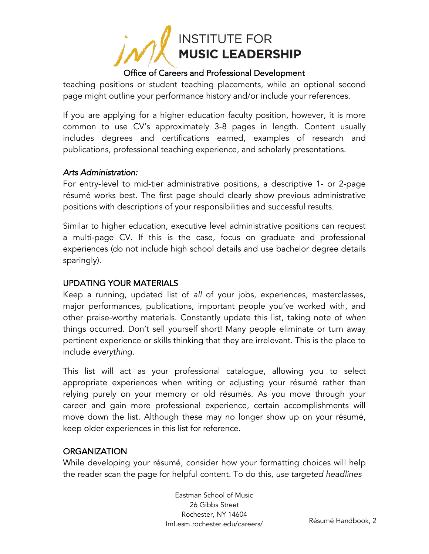

teaching positions or student teaching placements, while an optional second page might outline your performance history and/or include your references.

If you are applying for a higher education faculty position, however, it is more common to use CV's approximately 3-8 pages in length. Content usually includes degrees and certifications earned, examples of research and publications, professional teaching experience, and scholarly presentations.

#### *Arts Administration:*

For entry-level to mid-tier administrative positions, a descriptive 1- or 2-page résumé works best. The first page should clearly show previous administrative positions with descriptions of your responsibilities and successful results.

Similar to higher education, executive level administrative positions can request a multi-page CV. If this is the case, focus on graduate and professional experiences (do not include high school details and use bachelor degree details sparingly).

#### UPDATING YOUR MATERIALS

Keep a running, updated list of *all* of your jobs, experiences, masterclasses, major performances, publications, important people you've worked with, and other praise-worthy materials. Constantly update this list, taking note of *when*  things occurred. Don't sell yourself short! Many people eliminate or turn away pertinent experience or skills thinking that they are irrelevant. This is the place to include *everything.*

This list will act as your professional catalogue, allowing you to select appropriate experiences when writing or adjusting your résumé rather than relying purely on your memory or old résumés. As you move through your career and gain more professional experience, certain accomplishments will move down the list. Although these may no longer show up on your résumé, keep older experiences in this list for reference.

#### **ORGANIZATION**

While developing your résumé, consider how your formatting choices will help the reader scan the page for helpful content. To do this, *use targeted headlines*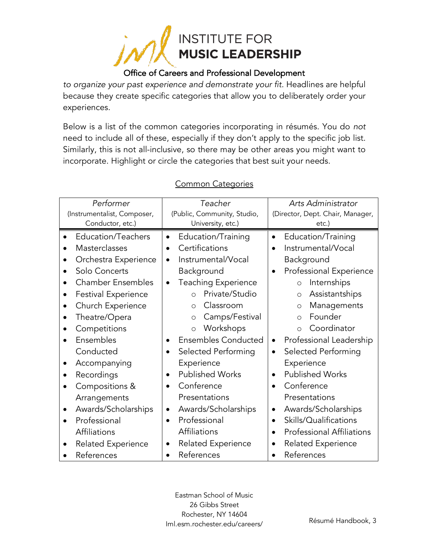

*to organize your past experience and demonstrate your fit.* Headlines are helpful because they create specific categories that allow you to deliberately order your experiences.

Below is a list of the common categories incorporating in résumés. You do *not*  need to include all of these, especially if they don't apply to the specific job list. Similarly, this is not all-inclusive, so there may be other areas you might want to incorporate. Highlight or circle the categories that best suit your needs.

| Performer<br>(Instrumentalist, Composer,                                                                                                                                                                                                                                                                                                                                                                                        | Teacher<br>(Public, Community, Studio,                                                                                                                                                                                                                                                                                                                                                                                                                                                                                                                       | Arts Administrator                                                                                                                                                                                                                                                                                                                                                                                                                                                                                                                                                                                           |  |
|---------------------------------------------------------------------------------------------------------------------------------------------------------------------------------------------------------------------------------------------------------------------------------------------------------------------------------------------------------------------------------------------------------------------------------|--------------------------------------------------------------------------------------------------------------------------------------------------------------------------------------------------------------------------------------------------------------------------------------------------------------------------------------------------------------------------------------------------------------------------------------------------------------------------------------------------------------------------------------------------------------|--------------------------------------------------------------------------------------------------------------------------------------------------------------------------------------------------------------------------------------------------------------------------------------------------------------------------------------------------------------------------------------------------------------------------------------------------------------------------------------------------------------------------------------------------------------------------------------------------------------|--|
| Conductor, etc.)                                                                                                                                                                                                                                                                                                                                                                                                                | University, etc.)                                                                                                                                                                                                                                                                                                                                                                                                                                                                                                                                            | (Director, Dept. Chair, Manager,<br>etc.)                                                                                                                                                                                                                                                                                                                                                                                                                                                                                                                                                                    |  |
| Education/Teachers<br>$\bullet$<br>Masterclasses<br>Orchestra Experience<br>Solo Concerts<br><b>Chamber Ensembles</b><br><b>Festival Experience</b><br>Church Experience<br>Theatre/Opera<br>Competitions<br>Ensembles<br>Conducted<br>Accompanying<br>Recordings<br>Compositions &<br>Arrangements<br>Awards/Scholarships<br>$\bullet$<br>Professional<br>$\bullet$<br>Affiliations<br><b>Related Experience</b><br>References | Education/Training<br>$\bullet$<br>Certifications<br>$\bullet$<br>Instrumental/Vocal<br>$\bullet$<br>Background<br><b>Teaching Experience</b><br>$\bullet$<br>Private/Studio<br>$\circ$<br>Classroom<br>$\circ$<br>Camps/Festival<br>$\circ$<br>Workshops<br>$\circ$<br><b>Ensembles Conducted</b><br>$\bullet$<br>Selected Performing<br>$\bullet$<br>Experience<br><b>Published Works</b><br>$\bullet$<br>Conference<br>$\bullet$<br>Presentations<br>Awards/Scholarships<br>$\bullet$<br>Professional<br>Affiliations<br>Related Experience<br>References | Education/Training<br>$\bullet$<br>Instrumental/Vocal<br>Background<br>Professional Experience<br>$\bullet$<br>Internships<br>$\circ$<br>Assistantships<br>$\circ$<br>Managements<br>$\circ$<br>Founder<br>$\circ$<br>Coordinator<br>$\circ$<br>Professional Leadership<br>$\bullet$<br>Selected Performing<br>$\bullet$<br>Experience<br><b>Published Works</b><br>$\bullet$<br>Conference<br>$\bullet$<br>Presentations<br>Awards/Scholarships<br>$\bullet$<br>Skills/Qualifications<br>$\bullet$<br><b>Professional Affiliations</b><br>$\bullet$<br><b>Related Experience</b><br>$\bullet$<br>References |  |
|                                                                                                                                                                                                                                                                                                                                                                                                                                 |                                                                                                                                                                                                                                                                                                                                                                                                                                                                                                                                                              |                                                                                                                                                                                                                                                                                                                                                                                                                                                                                                                                                                                                              |  |

#### Common Categories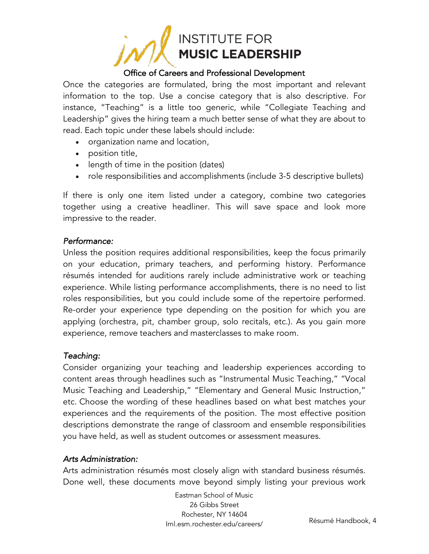

Once the categories are formulated, bring the most important and relevant information to the top. Use a concise category that is also descriptive. For instance, "Teaching" is a little too generic, while "Collegiate Teaching and Leadership" gives the hiring team a much better sense of what they are about to read. Each topic under these labels should include:

- organization name and location,
- position title,
- length of time in the position (dates)
- role responsibilities and accomplishments (include 3-5 descriptive bullets)

If there is only one item listed under a category, combine two categories together using a creative headliner. This will save space and look more impressive to the reader.

#### *Performance:*

Unless the position requires additional responsibilities, keep the focus primarily on your education, primary teachers, and performing history. Performance résumés intended for auditions rarely include administrative work or teaching experience. While listing performance accomplishments, there is no need to list roles responsibilities, but you could include some of the repertoire performed. Re-order your experience type depending on the position for which you are applying (orchestra, pit, chamber group, solo recitals, etc.). As you gain more experience, remove teachers and masterclasses to make room.

#### *Teaching:*

Consider organizing your teaching and leadership experiences according to content areas through headlines such as "Instrumental Music Teaching," "Vocal Music Teaching and Leadership," "Elementary and General Music Instruction," etc. Choose the wording of these headlines based on what best matches your experiences and the requirements of the position. The most effective position descriptions demonstrate the range of classroom and ensemble responsibilities you have held, as well as student outcomes or assessment measures.

#### *Arts Administration:*

Arts administration résumés most closely align with standard business résumés. Done well, these documents move beyond simply listing your previous work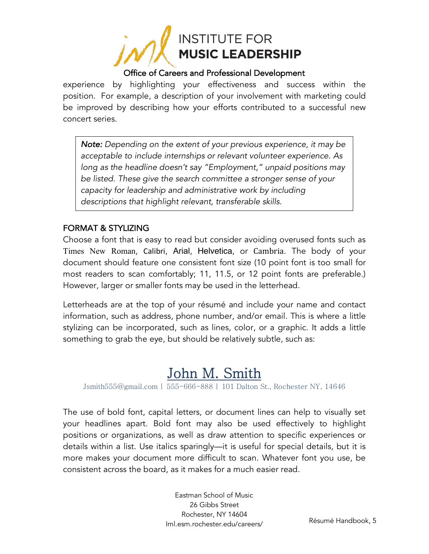

experience by highlighting your effectiveness and success within the position. For example, a description of your involvement with marketing could be improved by describing how your efforts contributed to a successful new concert series.

*Note: Depending on the extent of your previous experience, it may be acceptable to include internships or relevant volunteer experience. As long as the headline doesn't say "Employment," unpaid positions may be listed. These give the search committee a stronger sense of your capacity for leadership and administrative work by including descriptions that highlight relevant, transferable skills.*

#### FORMAT & STYLIZING

Choose a font that is easy to read but consider avoiding overused fonts such as Times New Roman, Calibri, Arial, Helvetica, or Cambria. The body of your document should feature one consistent font size (10 point font is too small for most readers to scan comfortably; 11, 11.5, or 12 point fonts are preferable.) However, larger or smaller fonts may be used in the letterhead.

Letterheads are at the top of your résumé and include your name and contact information, such as address, phone number, and/or email. This is where a little stylizing can be incorporated, such as lines, color, or a graphic. It adds a little something to grab the eye, but should be relatively subtle, such as:

John M. Smith Jushith Jushith Jushith Jushith Jushith Jushith Jushith Jushith Jushith Jushith Jushith Jushith Jushith Jushith Jushith Jushith Jushith Jushith Jushith Jushith Jushith Jushith Jushith Jushith Jushith Jushith

The use of bold font, capital letters, or document lines can help to visually set your headlines apart. Bold font may also be used effectively to highlight positions or organizations, as well as draw attention to specific experiences or details within a list. Use italics sparingly—it is useful for special details, but it is more makes your document more difficult to scan. Whatever font you use, be consistent across the board, as it makes for a much easier read.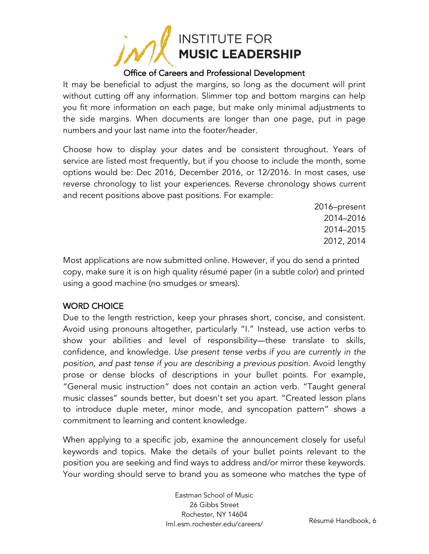

It may be beneficial to adjust the margins, so long as the document will print without cutting off any information. Slimmer top and bottom margins can help you fit more information on each page, but make only minimal adjustments to the side margins. When documents are longer than one page, put in page numbers and your last name into the footer/header.

Choose how to display your dates and be consistent throughout. Years of service are listed most frequently, but if you choose to include the month, some options would be: Dec 2016, December 2016, or 12/2016. In most cases, use reverse chronology to list your experiences. Reverse chronology shows current and recent positions above past positions. For example:

> 2016–present 2014–2016 2014–2015 2012, 2014

Most applications are now submitted online. However, if you do send a printed copy, make sure it is on high quality résumé paper (in a subtle color) and printed using a good machine (no smudges or smears).

#### WORD CHOICE

Due to the length restriction, keep your phrases short, concise, and consistent. Avoid using pronouns altogether, particularly "I." Instead, use action verbs to show your abilities and level of responsibility—these translate to skills, confidence, and knowledge. *Use present tense verbs if you are currently in the position, and past tense if you are describing a previous position.* Avoid lengthy prose or dense blocks of descriptions in your bullet points. For example, "General music instruction" does not contain an action verb. "Taught general music classes" sounds better, but doesn't set you apart. "Created lesson plans to introduce duple meter, minor mode, and syncopation pattern" shows a commitment to learning and content knowledge.

When applying to a specific job, examine the announcement closely for useful keywords and topics. Make the details of your bullet points relevant to the position you are seeking and find ways to address and/or mirror these keywords. Your wording should serve to brand you as someone who matches the type of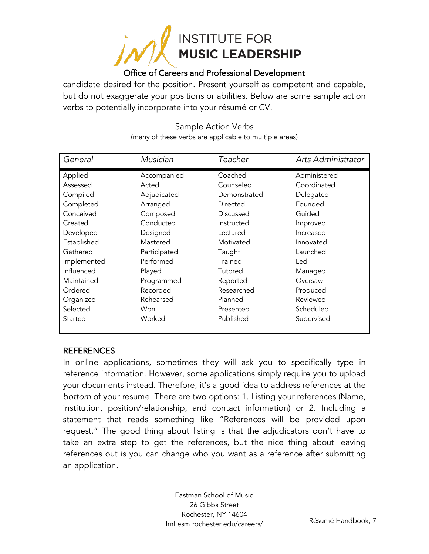

candidate desired for the position. Present yourself as competent and capable, but do not exaggerate your positions or abilities. Below are some sample action verbs to potentially incorporate into your résumé or CV.

#### Sample Action Verbs

(many of these verbs are applicable to multiple areas)

| General     | Musician     | Teacher        | Arts Administrator |
|-------------|--------------|----------------|--------------------|
| Applied     | Accompanied  | Coached        | Administered       |
| Assessed    | Acted        | Counseled      | Coordinated        |
| Compiled    | Adjudicated  | Demonstrated   | Delegated          |
| Completed   | Arranged     | Directed       | Founded            |
| Conceived   | Composed     | Discussed      | Guided             |
| Created     | Conducted    | Instructed     | Improved           |
| Developed   | Designed     | Lectured       | Increased          |
| Established | Mastered     | Motivated      | Innovated          |
| Gathered    | Participated | Taught         | Launched           |
| Implemented | Performed    | <b>Trained</b> | Led                |
| Influenced  | Played       | Tutored        | Managed            |
| Maintained  | Programmed   | Reported       | Oversaw            |
| Ordered     | Recorded     | Researched     | Produced           |
| Organized   | Rehearsed    | Planned        | Reviewed           |
| Selected    | Won          | Presented      | Scheduled          |
| Started     | Worked       | Published      | Supervised         |
|             |              |                |                    |

#### **REFERENCES**

In online applications, sometimes they will ask you to specifically type in reference information. However, some applications simply require you to upload your documents instead. Therefore, it's a good idea to address references at the *bottom* of your resume. There are two options: 1. Listing your references (Name, institution, position/relationship, and contact information) or 2. Including a statement that reads something like "References will be provided upon request." The good thing about listing is that the adjudicators don't have to take an extra step to get the references, but the nice thing about leaving references out is you can change who you want as a reference after submitting an application.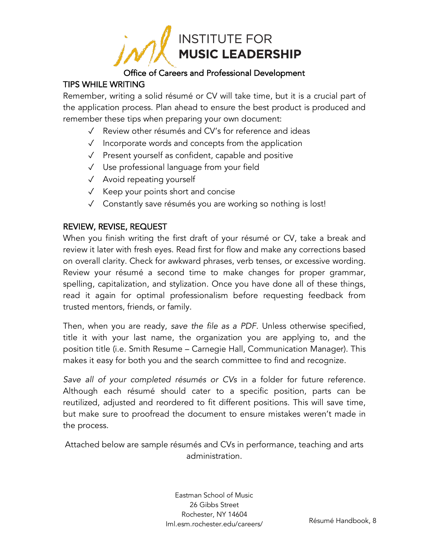

#### TIPS WHILE WRITING

Remember, writing a solid résumé or CV will take time, but it is a crucial part of the application process. Plan ahead to ensure the best product is produced and remember these tips when preparing your own document:

- ✓ Review other résumés and CV's for reference and ideas
- ✓ Incorporate words and concepts from the application
- ✓ Present yourself as confident, capable and positive
- ✓ Use professional language from your field
- ✓ Avoid repeating yourself
- ✓ Keep your points short and concise
- ✓ Constantly save résumés you are working so nothing is lost!

#### REVIEW, REVISE, REQUEST

When you finish writing the first draft of your résumé or CV, take a break and review it later with fresh eyes. Read first for flow and make any corrections based on overall clarity. Check for awkward phrases, verb tenses, or excessive wording. Review your résumé a second time to make changes for proper grammar, spelling, capitalization, and stylization. Once you have done all of these things, read it again for optimal professionalism before requesting feedback from trusted mentors, friends, or family.

Then, when you are ready, *save the file as a PDF.* Unless otherwise specified, title it with your last name, the organization you are applying to, and the position title (i.e. Smith Resume – Carnegie Hall, Communication Manager). This makes it easy for both you and the search committee to find and recognize.

*Save all of your completed résumés or CVs* in a folder for future reference. Although each résumé should cater to a specific position, parts can be reutilized, adjusted and reordered to fit different positions. This will save time, but make sure to proofread the document to ensure mistakes weren't made in the process.

Attached below are sample résumés and CVs in performance, teaching and arts administration.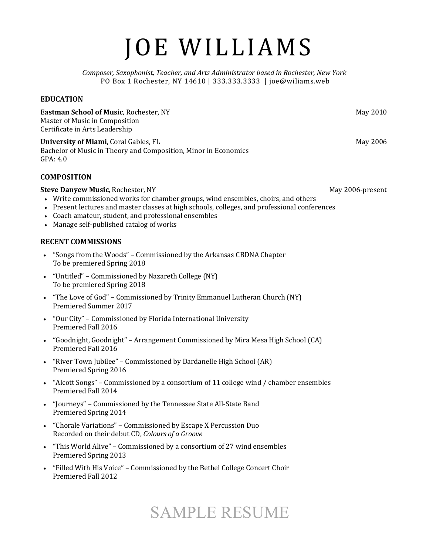# JOE WILLIAMS

*Composer, Saxophonist, Teacher, and Arts Administrator based in Rochester, New York* PO Box 1 Rochester, NY 14610 | 333.333.3333 | joe@wiliams.web

#### **EDUCATION**

**Eastman School of Music**, Rochester, NY **Accord 2010** May 2010 Master of Music in Composition Certificate in Arts Leadership

**University of Miami**, Coral Gables, FL **XIV Contract Contract Contract Contract Contract Contract Contract Contract Contract Contract Contract Contract Contract Contract Contract Contract Contract Contract Contract Contra** Bachelor of Music in Theory and Composition, Minor in Economics GPA: 4.0

#### **COMPOSITION**

#### **Steve Danyew Music**, Rochester, NY **All any 2006-present** May 2006-present

- Write commissioned works for chamber groups, wind ensembles, choirs, and others
- Present lectures and master classes at high schools, colleges, and professional conferences
- Coach amateur, student, and professional ensembles
- Manage self-published catalog of works

#### **RECENT COMMISSIONS**

- "Songs from the Woods" Commissioned by the Arkansas CBDNA Chapter To be premiered Spring 2018
- "Untitled" Commissioned by Nazareth College (NY) To be premiered Spring 2018
- "The Love of God" Commissioned by Trinity Emmanuel Lutheran Church (NY) Premiered Summer 2017
- "Our City" Commissioned by Florida International University Premiered Fall 2016
- "Goodnight, Goodnight" Arrangement Commissioned by Mira Mesa High School (CA) Premiered Fall 2016
- "River Town Jubilee" Commissioned by Dardanelle High School (AR) Premiered Spring 2016
- "Alcott Songs" Commissioned by a consortium of 11 college wind  $/$  chamber ensembles Premiered Fall 2014
- "Journeys" Commissioned by the Tennessee State All-State Band Premiered Spring 2014
- "Chorale Variations" Commissioned by Escape X Percussion Duo Recorded on their debut CD, *Colours of a Groove*
- "This World Alive" Commissioned by a consortium of 27 wind ensembles Premiered Spring 2013
- "Filled With His Voice" Commissioned by the Bethel College Concert Choir Premiered Fall 2012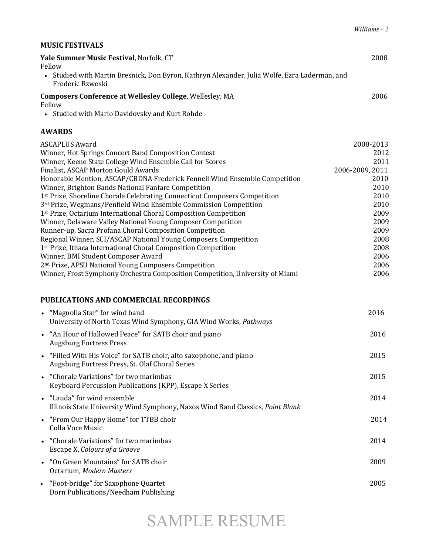#### **MUSIC FESTIVALS**

| <b>Yale Summer Music Festival</b> . Norfolk. CT                                                                   | 2008 |
|-------------------------------------------------------------------------------------------------------------------|------|
| Fellow                                                                                                            |      |
| • Studied with Martin Bresnick, Don Byron, Kathryn Alexander, Julia Wolfe, Ezra Laderman, and<br>Frederic Rzweski |      |
| <b>Composers Conference at Wellesley College, Wellesley, MA</b>                                                   | 2006 |

Fellow

• Studied with Mario Davidovsky and Kurt Rohde

#### **AWARDS**

| <b>ASCAPLUS Award</b>                                                         | 2008-2013       |
|-------------------------------------------------------------------------------|-----------------|
| Winner, Hot Springs Concert Band Composition Contest                          | 2012            |
| Winner, Keene State College Wind Ensemble Call for Scores                     | 2011            |
| Finalist, ASCAP Morton Gould Awards                                           | 2006-2009, 2011 |
| Honorable Mention, ASCAP/CBDNA Frederick Fennell Wind Ensemble Competition    | 2010            |
| Winner, Brighton Bands National Fanfare Competition                           | 2010            |
| 1st Prize, Shoreline Chorale Celebrating Connecticut Composers Competition    | 2010            |
| 3rd Prize, Wegmans/Penfield Wind Ensemble Commission Competition              | 2010            |
| 1st Prize, Octarium International Choral Composition Competition              | 2009            |
| Winner, Delaware Valley National Young Composer Competition                   | 2009            |
| Runner-up, Sacra Profana Choral Composition Competition                       | 2009            |
| Regional Winner, SCI/ASCAP National Young Composers Competition               | 2008            |
| 1st Prize, Ithaca International Choral Composition Competition                | 2008            |
| Winner, BMI Student Composer Award                                            | 2006            |
| 2 <sup>nd</sup> Prize, APSU National Young Composers Competition              | 2006            |
| Winner, Frost Symphony Orchestra Composition Competition, University of Miami | 2006            |
|                                                                               |                 |
| <b>PUBLICATIONS AND COMMERCIAL RECORDINGS</b>                                 |                 |

| • "Magnolia Star" for wind band<br>University of North Texas Wind Symphony, GIA Wind Works, Pathways                   | 2016 |
|------------------------------------------------------------------------------------------------------------------------|------|
| • "An Hour of Hallowed Peace" for SATB choir and piano<br><b>Augsburg Fortress Press</b>                               | 2016 |
| • "Filled With His Voice" for SATB choir, alto saxophone, and piano<br>Augsburg Fortress Press, St. Olaf Choral Series | 2015 |
| • "Chorale Variations" for two marimbas<br>Keyboard Percussion Publications (KPP), Escape X Series                     | 2015 |
| • "Lauda" for wind ensemble<br>Illinois State University Wind Symphony, Naxos Wind Band Classics, Point Blank          | 2014 |
| • "From Our Happy Home" for TTBB choir<br>Colla Voce Music                                                             | 2014 |
| • "Chorale Variations" for two marimbas<br>Escape X, Colours of a Groove                                               | 2014 |
| • "On Green Mountains" for SATB choir<br>Octarium, Modern Masters                                                      | 2009 |
| • "Foot-bridge" for Saxophone Quartet<br>Dorn Publications/Needham Publishing                                          | 2005 |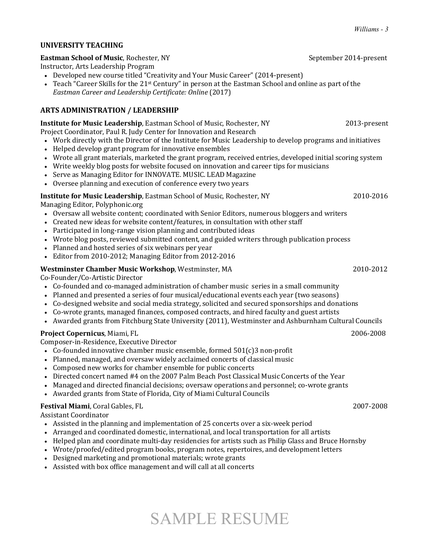#### **UNIVERSITY TEACHING**

#### **Eastman School of Music**, Rochester, NY *CON* **CON** *CON* **September 2014-present**

Instructor, Arts Leadership Program 

- Developed new course titled "Creativity and Your Music Career" (2014-present)
- Teach "Career Skills for the  $21$ <sup>st</sup> Century" in person at the Eastman School and online as part of the *Eastman Career and Leadership Certificate: Online* (2017)

#### **ARTS ADMINISTRATION / LEADERSHIP**

| <b>Institute for Music Leadership</b> , Eastman School of Music, Rochester, NY | 2013-present |
|--------------------------------------------------------------------------------|--------------|
| Droiget Coordinator, Dayl D. Judy Contar for Innovation and Desearch           |              |

- Project Coordinator, Paul R. Judy Center for Innovation and Research
- Work directly with the Director of the Institute for Music Leadership to develop programs and initiatives
- Helped develop grant program for innovative ensembles
- Wrote all grant materials, marketed the grant program, received entries, developed initial scoring system
- Write weekly blog posts for website focused on innovation and career tips for musicians
- Serve as Managing Editor for INNOVATE. MUSIC. LEAD Magazine
- Oversee planning and execution of conference every two years

#### **Institute for Music Leadership**, Eastman School of Music, Rochester, NY 2010-2016

Managing Editor, Polyphonic.org

- Oversaw all website content; coordinated with Senior Editors, numerous bloggers and writers
- Created new ideas for website content/features, in consultation with other staff
- Participated in long-range vision planning and contributed ideas
- Wrote blog posts, reviewed submitted content, and guided writers through publication process
- Planned and hosted series of six webinars per year
- Editor from 2010-2012; Managing Editor from 2012-2016

#### Westminster Chamber Music Workshop, Westminster, MA 2010-2012

Co-Founder/Co-Artistic Director

- Co-founded and co-managed administration of chamber music series in a small community
- Planned and presented a series of four musical/educational events each year (two seasons)
- Co-designed website and social media strategy, solicited and secured sponsorships and donations
- Co-wrote grants, managed finances, composed contracts, and hired faculty and guest artists
- Awarded grants from Fitchburg State University (2011), Westminster and Ashburnham Cultural Councils

#### **Project Copernicus**, Miami, FL **8006-2008** *COPERNICUS* **<b>***COPERNICUS*

Composer-in-Residence, Executive Director

- Co-founded innovative chamber music ensemble, formed  $501(c)3$  non-profit
- Planned, managed, and oversaw widely acclaimed concerts of classical music
- Composed new works for chamber ensemble for public concerts
- Directed concert named #4 on the 2007 Palm Beach Post Classical Music Concerts of the Year
- Managed and directed financial decisions; oversaw operations and personnel; co-wrote grants
- Awarded grants from State of Florida, City of Miami Cultural Councils

#### **Festival Miami**, Coral Gables, FL 2007-2008

Assistant Coordinator 

- Assisted in the planning and implementation of 25 concerts over a six-week period
- Arranged and coordinated domestic, international, and local transportation for all artists
- Helped plan and coordinate multi-day residencies for artists such as Philip Glass and Bruce Hornsby
- Wrote/proofed/edited program books, program notes, repertoires, and development letters
- Designed marketing and promotional materials; wrote grants
- Assisted with box office management and will call at all concerts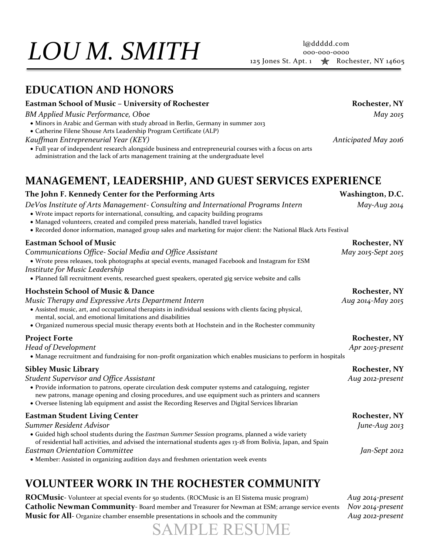# 000-000-0000 *LOU* <sup>125</sup> Jones St. Apt. ͝ Rochester, NY 14605 *M. SMITH*

### **EDUCATION AND HONORS**

#### **Eastman School of Music – University of Rochester Rochester, NY**

*BM Applied Music Performance, Oboe May 2015*

- Minors in Arabic and German with study abroad in Berlin, Germany in summer 2013
- Catherine Filene Shouse Arts Leadership Program Certificate (ALP)
- *Kauffman Entrepreneurial Year (KEY) Anticipated May 2016*
- Full year of independent research alongside business and entrepreneurial courses with a focus on arts administration and the lack of arts management training at the undergraduate level

## **MANAGEMENT, LEADERSHIP, AND GUEST SERVICES EXPERIENCE**

#### **The John F. Kennedy Center for the Performing Arts Washington, D.C.**  *DeVos Institute of Arts Management- Consulting and International Programs Intern May-Aug 2014* • Wrote impact reports for international, consulting, and capacity building programs • Managed volunteers, created and compiled press materials, handled travel logistics x Recorded donor information, managed group sales and marketing for major client: the National Black Arts Festival **Eastman School of Music Rochester, NY**  *Communications Office- Social Media and Office Assistant May 2015-Sept 2015* x Wrote press releases, took photographs at special events, managed Facebook and Instagram for ESM *Institute for Music Leadership* • Planned fall recruitment events, researched guest speakers, operated gig service website and calls **Hochstein School of Music & Dance Rochester, NY**  $\blacksquare$  Rochester, NY *Music Therapy and Expressive Arts Department Intern Aug 2014-May 2015*  • Assisted music, art, and occupational therapists in individual sessions with clients facing physical, mental, social, and emotional limitations and disabilities • Organized numerous special music therapy events both at Hochstein and in the Rochester community **Project Forte** Rochester, NY *Head of Development Apr 2015-present*  • Manage recruitment and fundraising for non-profit organization which enables musicians to perform in hospitals **Sibley Music Library Rochester, NY**  *Student Supervisor and Office Assistant Aug 2012-present*  • Provide information to patrons, operate circulation desk computer systems and cataloguing, register new patrons, manage opening and closing procedures, and use equipment such as printers and scanners x Oversee listening lab equipment and assist the Recording Reserves and Digital Services librarian **Eastman Student Living Center Rochester, NY**  $\blacksquare$  Rochester, NY *Summer Resident Advisor June-Aug 2013* x Guided high school students during the *Eastman Summer Session* programs, planned a wide variety of residential hall activities, and advised the international students ages 13-18 from Bolivia, Japan, and Spain *Eastman Orientation Committee Jan-Sept 2012* • Member: Assisted in organizing audition days and freshmen orientation week events

## **VOLUNTEER WORK IN THE ROCHESTER COMMUNITY**

**ROCMusic-** Volunteer at special events for 50 students. (ROCMusic is an El Sistema music program) *Aug 2014-present* **Catholic Newman Community***-* Board member and Treasurer for Newman at ESM; arrange service events *Nov 2014-present* **Music for All**- Organize chamber ensemble presentations in schools and the community *Aug 2012-present*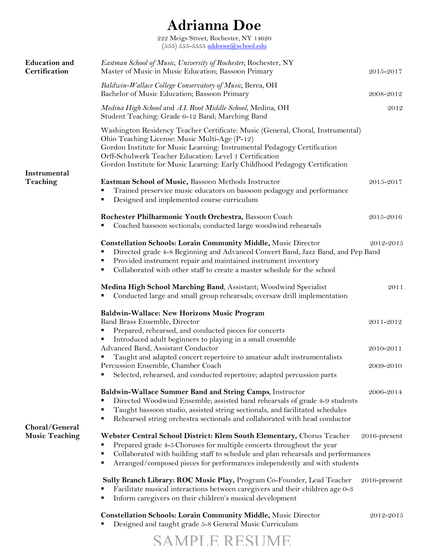## **Adrianna Doe**

222 Meigs Street, Rochester, NY 14620  $(555)$   $555$ -5555 addooee@school.edu

| <b>Education</b> and<br>Certification   | Eastman School of Music, University of Rochester, Rochester, NY<br>Master of Music in Music Education; Bassoon Primary                                                                                                                                                                                                                                 | 2015-2017    |  |
|-----------------------------------------|--------------------------------------------------------------------------------------------------------------------------------------------------------------------------------------------------------------------------------------------------------------------------------------------------------------------------------------------------------|--------------|--|
|                                         | Baldwin-Wallace College Conservatory of Music, Berea, OH<br>Bachelor of Music Education; Bassoon Primary                                                                                                                                                                                                                                               | 2008-2012    |  |
|                                         | Medina High School and A.I. Root Middle School, Medina, OH<br>Student Teaching: Grade 6-12 Band; Marching Band                                                                                                                                                                                                                                         | 2012         |  |
| <b>Instrumental</b>                     | Washington Residency Teacher Certificate: Music (General, Choral, Instrumental)<br>Ohio Teaching License: Music Multi-Age (P-12)<br>Gordon Institute for Music Learning: Instrumental Pedagogy Certification<br>Orff-Schulwerk Teacher Education: Level 1 Certification<br>Gordon Institute for Music Learning: Early Childhood Pedagogy Certification |              |  |
| Teaching                                | Eastman School of Music, Bassoon Methods Instructor<br>Trained preservice music educators on bassoon pedagogy and performance<br>Designed and implemented course curriculum<br>٠                                                                                                                                                                       | 2015-2017    |  |
|                                         | Rochester Philharmonic Youth Orchestra, Bassoon Coach<br>Coached bassoon sectionals; conducted large woodwind rehearsals                                                                                                                                                                                                                               | 2015-2016    |  |
|                                         | <b>Constellation Schools: Lorain Community Middle, Music Director</b><br>2012-2015<br>Directed grade 4-8 Beginning and Advanced Concert Band, Jazz Band, and Pep Band<br>Provided instrument repair and maintained instrument inventory<br>Collaborated with other staff to create a master schedule for the school                                    |              |  |
|                                         | Medina High School Marching Band, Assistant; Woodwind Specialist<br>Conducted large and small group rehearsals; oversaw drill implementation                                                                                                                                                                                                           | 2011         |  |
|                                         | Baldwin-Wallace: New Horizons Music Program<br>Band Brass Ensemble, Director<br>Prepared, rehearsed, and conducted pieces for concerts                                                                                                                                                                                                                 | 2011-2012    |  |
|                                         | Introduced adult beginners to playing in a small ensemble<br>Advanced Band, Assistant Conductor<br>Taught and adapted concert repertoire to amateur adult instrumentalists                                                                                                                                                                             | 2010-2011    |  |
|                                         | Percussion Ensemble, Chamber Coach<br>Selected, rehearsed, and conducted repertoire; adapted percussion parts                                                                                                                                                                                                                                          | 2009-2010    |  |
|                                         | Baldwin-Wallace Summer Band and String Camps, Instructor<br>Directed Woodwind Ensemble; assisted band rehearsals of grade 4-9 students<br>Taught bassoon studio, assisted string sectionals, and facilitated schedules<br>٠<br>Rehearsed string orchestra sectionals and collaborated with head conductor<br>٠                                         | 2006-2014    |  |
| Choral/General<br><b>Music Teaching</b> | Webster Central School District: Klem South Elementary, Chorus Teacher<br>Prepared grade 4-5 Choruses for multiple concerts throughout the year<br>Collaborated with building staff to schedule and plan rehearsals and performances<br>٠<br>Arranged/composed pieces for performances independently and with students                                 | 2016-present |  |
|                                         | Sully Branch Library: ROC Music Play, Program Co-Founder, Lead Teacher<br>Facilitate musical interactions between caregivers and their children age 0-3<br>Inform caregivers on their children's musical development<br>٠                                                                                                                              | 2016-present |  |
|                                         | <b>Constellation Schools: Lorain Community Middle, Music Director</b>                                                                                                                                                                                                                                                                                  | 2012-2015    |  |

- § Designed and taught grade 5-8 General Music Curriculum
	- SAMPLE RESUME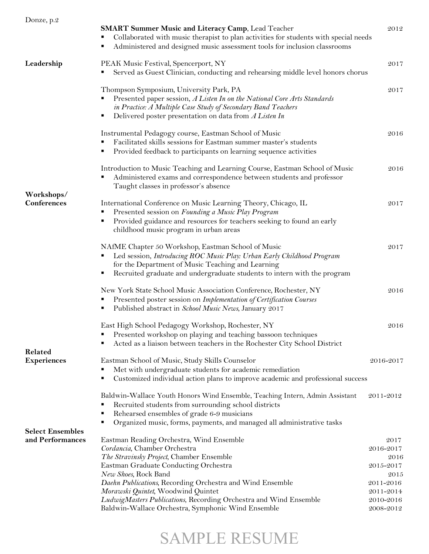| Donze, p.2                                  | <b>SMART Summer Music and Literacy Camp, Lead Teacher</b><br>Collaborated with music therapist to plan activities for students with special needs<br>Administered and designed music assessment tools for inclusion classrooms                                                                                                                                                                                      | 2012                                                                                               |
|---------------------------------------------|---------------------------------------------------------------------------------------------------------------------------------------------------------------------------------------------------------------------------------------------------------------------------------------------------------------------------------------------------------------------------------------------------------------------|----------------------------------------------------------------------------------------------------|
| Leadership                                  | PEAK Music Festival, Spencerport, NY<br>Served as Guest Clinician, conducting and rehearsing middle level honors chorus                                                                                                                                                                                                                                                                                             | 2017                                                                                               |
|                                             | Thompson Symposium, University Park, PA<br>Presented paper session, A Listen In on the National Core Arts Standards<br>in Practice: A Multiple Case Study of Secondary Band Teachers<br>Delivered poster presentation on data from $A$ Listen In<br>п                                                                                                                                                               | 2017                                                                                               |
|                                             | Instrumental Pedagogy course, Eastman School of Music<br>Facilitated skills sessions for Eastman summer master's students<br>Provided feedback to participants on learning sequence activities                                                                                                                                                                                                                      | 2016                                                                                               |
|                                             | Introduction to Music Teaching and Learning Course, Eastman School of Music<br>Administered exams and correspondence between students and professor<br>Taught classes in professor's absence                                                                                                                                                                                                                        | 2016                                                                                               |
| Workshops/<br><b>Conferences</b>            | International Conference on Music Learning Theory, Chicago, IL<br>Presented session on Founding a Music Play Program<br>Provided guidance and resources for teachers seeking to found an early<br>childhood music program in urban areas                                                                                                                                                                            | 2017                                                                                               |
|                                             | NAfME Chapter 50 Workshop, Eastman School of Music<br>Led session, Introducing ROC Music Play: Urban Early Childhood Program<br>п<br>for the Department of Music Teaching and Learning<br>Recruited graduate and undergraduate students to intern with the program                                                                                                                                                  | 2017                                                                                               |
|                                             | New York State School Music Association Conference, Rochester, NY<br>Presented poster session on Implementation of Certification Courses<br>Published abstract in School Music News, January 2017<br>٠                                                                                                                                                                                                              | 2016                                                                                               |
|                                             | East High School Pedagogy Workshop, Rochester, NY<br>Presented workshop on playing and teaching bassoon techniques<br>Acted as a liaison between teachers in the Rochester City School District                                                                                                                                                                                                                     | 2016                                                                                               |
| Related<br><b>Experiences</b>               | Eastman School of Music, Study Skills Counselor<br>Met with undergraduate students for academic remediation<br>Customized individual action plans to improve academic and professional success<br>п                                                                                                                                                                                                                 | 2016-2017                                                                                          |
|                                             | Baldwin-Wallace Youth Honors Wind Ensemble, Teaching Intern, Admin Assistant<br>Recruited students from surrounding school districts<br>Rehearsed ensembles of grade 6-9 musicians<br>Organized music, forms, payments, and managed all administrative tasks<br>п                                                                                                                                                   | 2011-2012                                                                                          |
| <b>Select Ensembles</b><br>and Performances | Eastman Reading Orchestra, Wind Ensemble<br>Cordancia, Chamber Orchestra<br>The Stravinsky Project, Chamber Ensemble<br>Eastman Graduate Conducting Orchestra<br>New Shoes, Rock Band<br>Daehn Publications, Recording Orchestra and Wind Ensemble<br>Morawski Quintet, Woodwind Quintet<br>LudwigMasters Publications, Recording Orchestra and Wind Ensemble<br>Baldwin-Wallace Orchestra, Symphonic Wind Ensemble | 2017<br>2016-2017<br>2016<br>2015-2017<br>2015<br>2011-2016<br>2011-2014<br>2010-2016<br>2008-2012 |